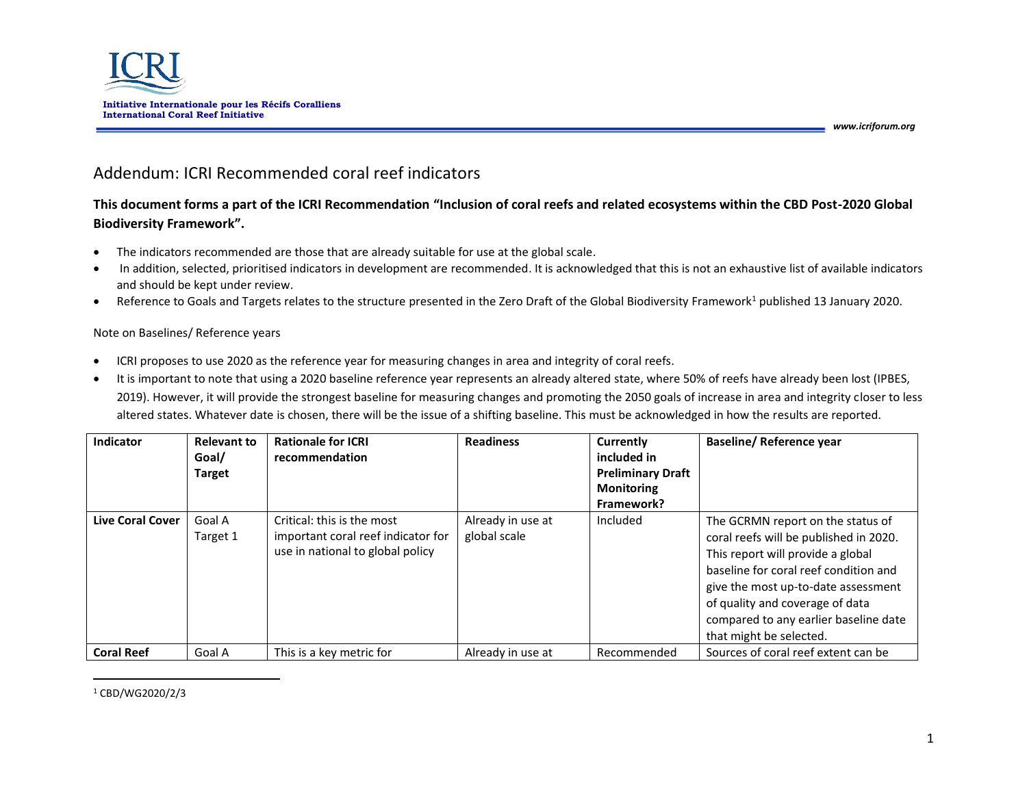

# Addendum: ICRI Recommended coral reef indicators

## **This document forms a part of the ICRI Recommendation "Inclusion of coral reefs and related ecosystems within the CBD Post-2020 Global Biodiversity Framework".**

- The indicators recommended are those that are already suitable for use at the global scale.
- In addition, selected, prioritised indicators in development are recommended. It is acknowledged that this is not an exhaustive list of available indicators and should be kept under review.
- Reference to Goals and Targets relates to the structure presented in the Zero Draft of the Global Biodiversity Framework<sup>1</sup> published 13 January 2020.

## Note on Baselines/ Reference years

- ICRI proposes to use 2020 as the reference year for measuring changes in area and integrity of coral reefs.
- It is important to note that using a 2020 baseline reference year represents an already altered state, where 50% of reefs have already been lost (IPBES, 2019). However, it will provide the strongest baseline for measuring changes and promoting the 2050 goals of increase in area and integrity closer to less altered states. Whatever date is chosen, there will be the issue of a shifting baseline. This must be acknowledged in how the results are reported.

| Indicator               | <b>Relevant to</b><br>Goal/<br><b>Target</b> | <b>Rationale for ICRI</b><br>recommendation                                                          | <b>Readiness</b>                  | Currently<br>included in<br><b>Preliminary Draft</b><br><b>Monitoring</b><br>Framework? | <b>Baseline/ Reference year</b>                                                                                                                                                                                                                                                                         |
|-------------------------|----------------------------------------------|------------------------------------------------------------------------------------------------------|-----------------------------------|-----------------------------------------------------------------------------------------|---------------------------------------------------------------------------------------------------------------------------------------------------------------------------------------------------------------------------------------------------------------------------------------------------------|
| <b>Live Coral Cover</b> | Goal A<br>Target 1                           | Critical: this is the most<br>important coral reef indicator for<br>use in national to global policy | Already in use at<br>global scale | Included                                                                                | The GCRMN report on the status of<br>coral reefs will be published in 2020.<br>This report will provide a global<br>baseline for coral reef condition and<br>give the most up-to-date assessment<br>of quality and coverage of data<br>compared to any earlier baseline date<br>that might be selected. |
| <b>Coral Reef</b>       | Goal A                                       | This is a key metric for                                                                             | Already in use at                 | Recommended                                                                             | Sources of coral reef extent can be                                                                                                                                                                                                                                                                     |

<sup>1</sup> CBD/WG2020/2/3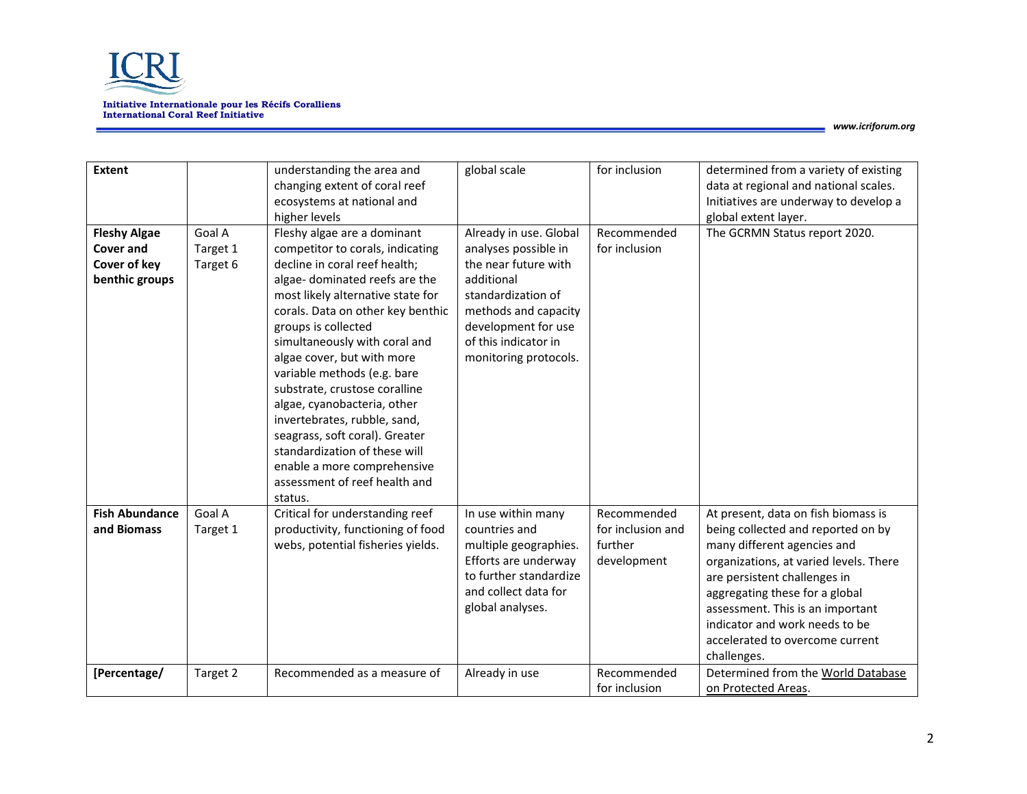

| <b>Extent</b><br><b>Fleshy Algae</b><br><b>Cover and</b><br>Cover of key<br>benthic groups | Goal A<br>Target 1<br>Target 6 | understanding the area and<br>changing extent of coral reef<br>ecosystems at national and<br>higher levels<br>Fleshy algae are a dominant<br>competitor to corals, indicating<br>decline in coral reef health;<br>algae-dominated reefs are the<br>most likely alternative state for<br>corals. Data on other key benthic<br>groups is collected<br>simultaneously with coral and<br>algae cover, but with more<br>variable methods (e.g. bare<br>substrate, crustose coralline<br>algae, cyanobacteria, other<br>invertebrates, rubble, sand,<br>seagrass, soft coral). Greater<br>standardization of these will<br>enable a more comprehensive<br>assessment of reef health and | global scale<br>Already in use. Global<br>analyses possible in<br>the near future with<br>additional<br>standardization of<br>methods and capacity<br>development for use<br>of this indicator in<br>monitoring protocols. | for inclusion<br>Recommended<br>for inclusion | determined from a variety of existing<br>data at regional and national scales.<br>Initiatives are underway to develop a<br>global extent layer.<br>The GCRMN Status report 2020.                                                                                                                      |
|--------------------------------------------------------------------------------------------|--------------------------------|-----------------------------------------------------------------------------------------------------------------------------------------------------------------------------------------------------------------------------------------------------------------------------------------------------------------------------------------------------------------------------------------------------------------------------------------------------------------------------------------------------------------------------------------------------------------------------------------------------------------------------------------------------------------------------------|----------------------------------------------------------------------------------------------------------------------------------------------------------------------------------------------------------------------------|-----------------------------------------------|-------------------------------------------------------------------------------------------------------------------------------------------------------------------------------------------------------------------------------------------------------------------------------------------------------|
| <b>Fish Abundance</b>                                                                      | Goal A                         | status.<br>Critical for understanding reef                                                                                                                                                                                                                                                                                                                                                                                                                                                                                                                                                                                                                                        | In use within many                                                                                                                                                                                                         | Recommended                                   | At present, data on fish biomass is                                                                                                                                                                                                                                                                   |
| and Biomass                                                                                | Target 1                       | productivity, functioning of food<br>webs, potential fisheries yields.                                                                                                                                                                                                                                                                                                                                                                                                                                                                                                                                                                                                            | countries and<br>multiple geographies.<br>Efforts are underway<br>to further standardize<br>and collect data for<br>global analyses.                                                                                       | for inclusion and<br>further<br>development   | being collected and reported on by<br>many different agencies and<br>organizations, at varied levels. There<br>are persistent challenges in<br>aggregating these for a global<br>assessment. This is an important<br>indicator and work needs to be<br>accelerated to overcome current<br>challenges. |
| [Percentage/                                                                               | Target 2                       | Recommended as a measure of                                                                                                                                                                                                                                                                                                                                                                                                                                                                                                                                                                                                                                                       | Already in use                                                                                                                                                                                                             | Recommended<br>for inclusion                  | Determined from the World Database<br>on Protected Areas.                                                                                                                                                                                                                                             |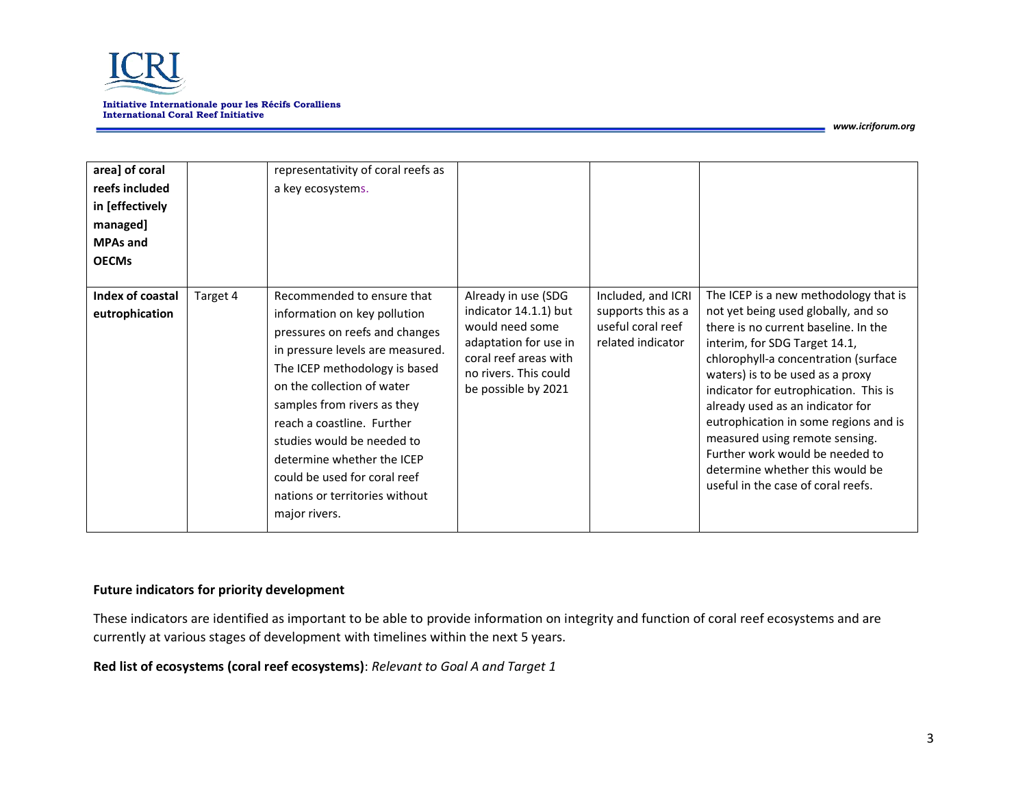

| area] of coral<br>reefs included<br>in [effectively<br>managed]<br><b>MPAs and</b><br><b>OECMs</b> |          | representativity of coral reefs as<br>a key ecosystems.                                                                                                                                                                                                                                                                                                                                                     |                                                                                                                                                                   |                                                                                    |                                                                                                                                                                                                                                                                                                                                                                                                                                                                                                       |
|----------------------------------------------------------------------------------------------------|----------|-------------------------------------------------------------------------------------------------------------------------------------------------------------------------------------------------------------------------------------------------------------------------------------------------------------------------------------------------------------------------------------------------------------|-------------------------------------------------------------------------------------------------------------------------------------------------------------------|------------------------------------------------------------------------------------|-------------------------------------------------------------------------------------------------------------------------------------------------------------------------------------------------------------------------------------------------------------------------------------------------------------------------------------------------------------------------------------------------------------------------------------------------------------------------------------------------------|
| Index of coastal<br>eutrophication                                                                 | Target 4 | Recommended to ensure that<br>information on key pollution<br>pressures on reefs and changes<br>in pressure levels are measured.<br>The ICEP methodology is based<br>on the collection of water<br>samples from rivers as they<br>reach a coastline. Further<br>studies would be needed to<br>determine whether the ICEP<br>could be used for coral reef<br>nations or territories without<br>major rivers. | Already in use (SDG<br>indicator 14.1.1) but<br>would need some<br>adaptation for use in<br>coral reef areas with<br>no rivers. This could<br>be possible by 2021 | Included, and ICRI<br>supports this as a<br>useful coral reef<br>related indicator | The ICEP is a new methodology that is<br>not yet being used globally, and so<br>there is no current baseline. In the<br>interim, for SDG Target 14.1,<br>chlorophyll-a concentration (surface<br>waters) is to be used as a proxy<br>indicator for eutrophication. This is<br>already used as an indicator for<br>eutrophication in some regions and is<br>measured using remote sensing.<br>Further work would be needed to<br>determine whether this would be<br>useful in the case of coral reefs. |

## **Future indicators for priority development**

These indicators are identified as important to be able to provide information on integrity and function of coral reef ecosystems and are currently at various stages of development with timelines within the next 5 years.

**Red list of ecosystems (coral reef ecosystems)**: *Relevant to Goal A and Target 1*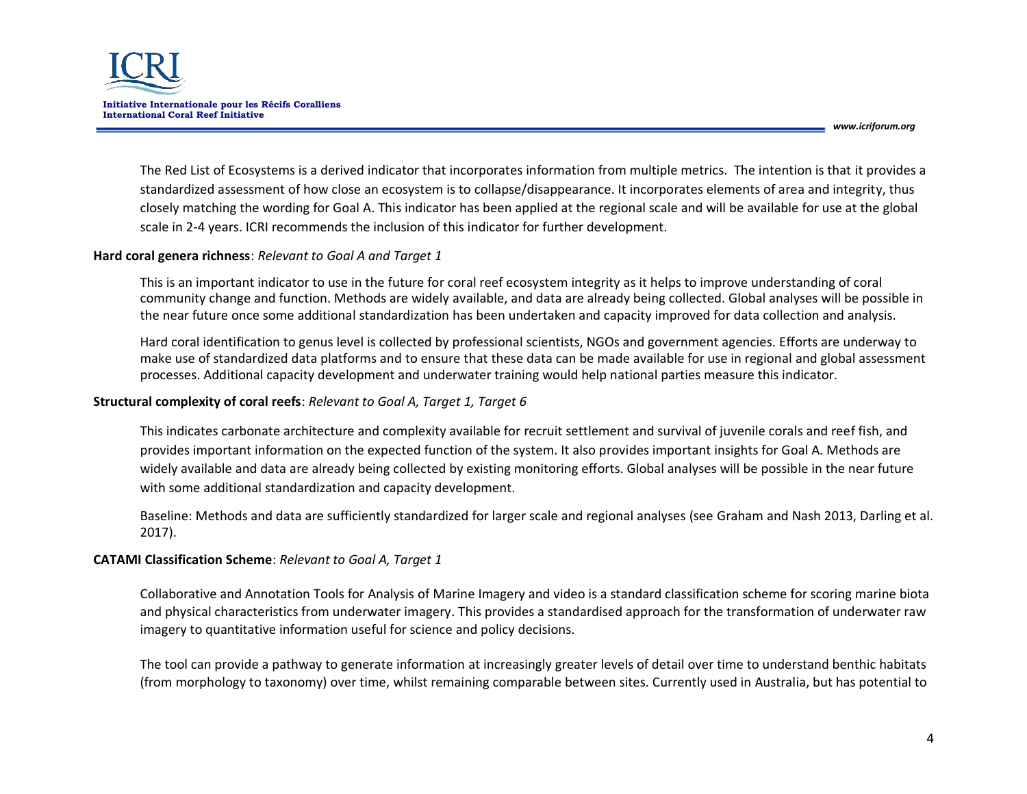

The Red List of Ecosystems is a derived indicator that incorporates information from multiple metrics. The intention is that it provides a standardized assessment of how close an ecosystem is to collapse/disappearance. It incorporates elements of area and integrity, thus closely matching the wording for Goal A. This indicator has been applied at the regional scale and will be available for use at the global scale in 2-4 years. ICRI recommends the inclusion of this indicator for further development.

#### **Hard coral genera richness**: *Relevant to Goal A and Target 1*

This is an important indicator to use in the future for coral reef ecosystem integrity as it helps to improve understanding of coral community change and function. Methods are widely available, and data are already being collected. Global analyses will be possible in the near future once some additional standardization has been undertaken and capacity improved for data collection and analysis.

Hard coral identification to genus level is collected by professional scientists, NGOs and government agencies. Efforts are underway to make use of standardized data platforms and to ensure that these data can be made available for use in regional and global assessment processes. Additional capacity development and underwater training would help national parties measure this indicator.

#### **Structural complexity of coral reefs**: *Relevant to Goal A, Target 1, Target 6*

This indicates carbonate architecture and complexity available for recruit settlement and survival of juvenile corals and reef fish, and provides important information on the expected function of the system. It also provides important insights for Goal A. Methods are widely available and data are already being collected by existing monitoring efforts. Global analyses will be possible in the near future with some additional standardization and capacity development.

Baseline: Methods and data are sufficiently standardized for larger scale and regional analyses (see Graham and Nash 2013, Darling et al. 2017).

### **CATAMI Classification Scheme**: *Relevant to Goal A, Target 1*

Collaborative and Annotation Tools for Analysis of Marine Imagery and video is a standard classification scheme for scoring marine biota and physical characteristics from underwater imagery. This provides a standardised approach for the transformation of underwater raw imagery to quantitative information useful for science and policy decisions.

The tool can provide a pathway to generate information at increasingly greater levels of detail over time to understand benthic habitats (from morphology to taxonomy) over time, whilst remaining comparable between sites. Currently used in Australia, but has potential to